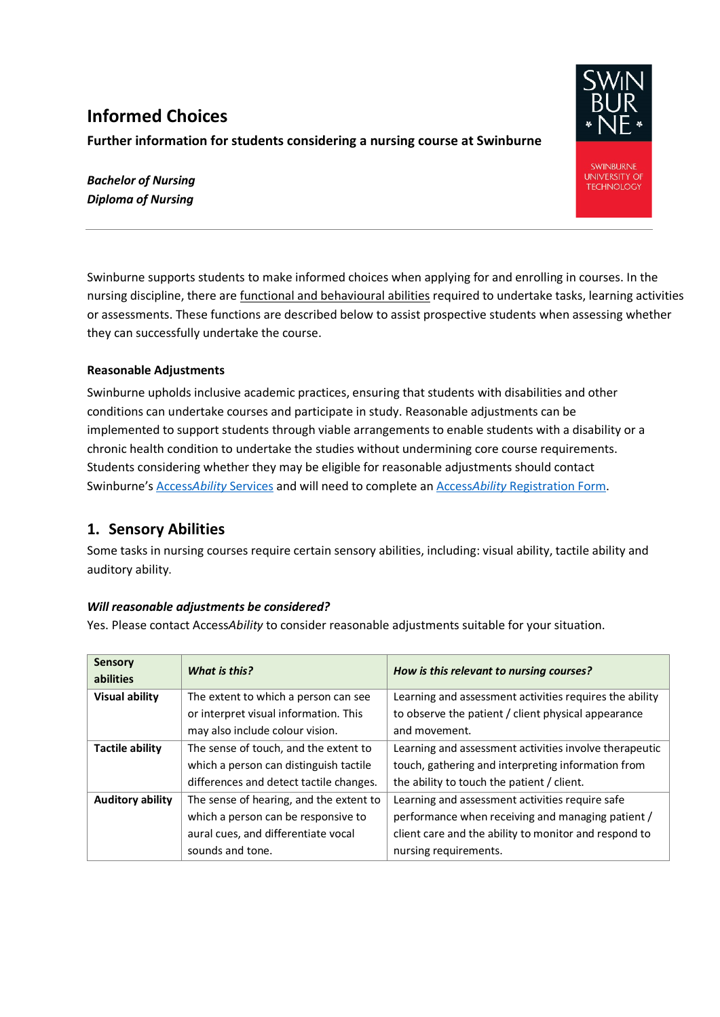# **Informed Choices**

#### **Further information for students considering a nursing course at Swinburne**

*Bachelor of Nursing Diploma of Nursing*

Swinburne supports students to make informed choices when applying for and enrolling in courses. In the nursing discipline, there are functional and behavioural abilities required to undertake tasks, learning activities or assessments. These functions are described below to assist prospective students when assessing whether they can successfully undertake the course.

#### **Reasonable Adjustments**

Swinburne upholds inclusive academic practices, ensuring that students with disabilities and other conditions can undertake courses and participate in study. Reasonable adjustments can be implemented to support students through viable arrangements to enable students with a disability or a chronic health condition to undertake the studies without undermining core course requirements. Students considering whether they may be eligible for reasonable adjustments should contact Swinburne's Access*Ability* [Services](https://www.swinburne.edu.au/current-students/student-services-support/accessability-services/register/) and will need to complete an Access*Ability* [Registration Form.](https://www.swinburne.edu.au/current-students/student-services-support/accessability-services/register/)

## **1. Sensory Abilities**

Some tasks in nursing courses require certain sensory abilities, including: visual ability, tactile ability and auditory ability.

#### *Will reasonable adjustments be considered?*

Yes. Please contact Access*Ability* to consider reasonable adjustments suitable for your situation.

| <b>Sensory</b><br>abilities | What is this?                           | How is this relevant to nursing courses?                |
|-----------------------------|-----------------------------------------|---------------------------------------------------------|
| <b>Visual ability</b>       | The extent to which a person can see    | Learning and assessment activities requires the ability |
|                             | or interpret visual information. This   | to observe the patient / client physical appearance     |
|                             | may also include colour vision.         | and movement.                                           |
| Tactile ability             | The sense of touch, and the extent to   | Learning and assessment activities involve therapeutic  |
|                             | which a person can distinguish tactile  | touch, gathering and interpreting information from      |
|                             | differences and detect tactile changes. | the ability to touch the patient / client.              |
| <b>Auditory ability</b>     | The sense of hearing, and the extent to | Learning and assessment activities require safe         |
|                             | which a person can be responsive to     | performance when receiving and managing patient /       |
|                             | aural cues, and differentiate vocal     | client care and the ability to monitor and respond to   |
|                             | sounds and tone.                        | nursing requirements.                                   |